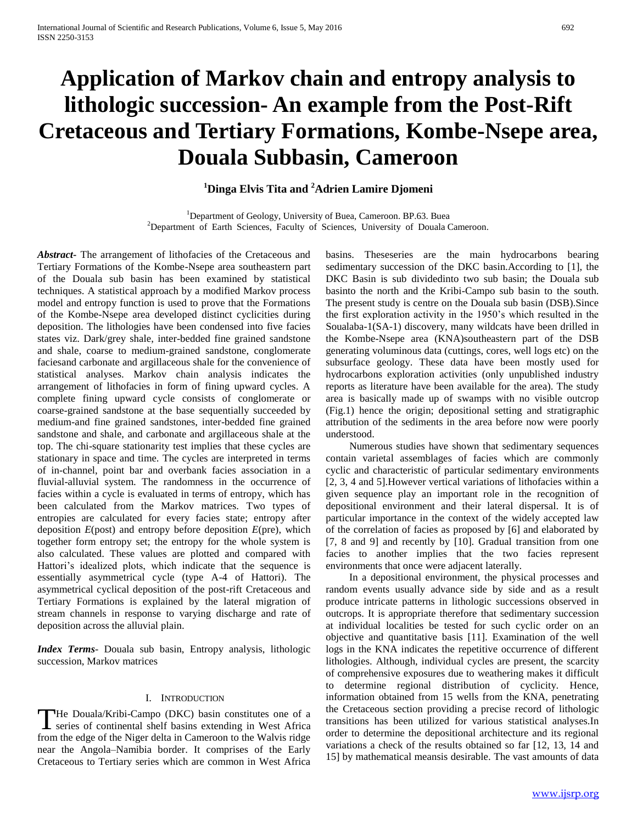# **Application of Markov chain and entropy analysis to lithologic succession- An example from the Post-Rift Cretaceous and Tertiary Formations, Kombe-Nsepe area, Douala Subbasin, Cameroon**

## **<sup>1</sup>Dinga Elvis Tita and <sup>2</sup>Adrien Lamire Djomeni**

<sup>1</sup>Department of Geology, University of Buea, Cameroon. BP.63. Buea <sup>2</sup>Department of Earth Sciences, Faculty of Sciences, University of Douala Cameroon.

*Abstract***-** The arrangement of lithofacies of the Cretaceous and Tertiary Formations of the Kombe-Nsepe area southeastern part of the Douala sub basin has been examined by statistical techniques. A statistical approach by a modified Markov process model and entropy function is used to prove that the Formations of the Kombe-Nsepe area developed distinct cyclicities during deposition. The lithologies have been condensed into five facies states viz. Dark/grey shale, inter-bedded fine grained sandstone and shale, coarse to medium-grained sandstone, conglomerate faciesand carbonate and argillaceous shale for the convenience of statistical analyses. Markov chain analysis indicates the arrangement of lithofacies in form of fining upward cycles. A complete fining upward cycle consists of conglomerate or coarse-grained sandstone at the base sequentially succeeded by medium-and fine grained sandstones, inter-bedded fine grained sandstone and shale, and carbonate and argillaceous shale at the top. The chi-square stationarity test implies that these cycles are stationary in space and time. The cycles are interpreted in terms of in-channel, point bar and overbank facies association in a fluvial-alluvial system. The randomness in the occurrence of facies within a cycle is evaluated in terms of entropy, which has been calculated from the Markov matrices. Two types of entropies are calculated for every facies state; entropy after deposition *E*(post) and entropy before deposition *E*(pre), which together form entropy set; the entropy for the whole system is also calculated. These values are plotted and compared with Hattori's idealized plots, which indicate that the sequence is essentially asymmetrical cycle (type A-4 of Hattori). The asymmetrical cyclical deposition of the post-rift Cretaceous and Tertiary Formations is explained by the lateral migration of stream channels in response to varying discharge and rate of deposition across the alluvial plain.

*Index Terms*- Douala sub basin, Entropy analysis, lithologic succession, Markov matrices

#### I. INTRODUCTION

He Douala/Kribi-Campo (DKC) basin constitutes one of a The Douala/Kribi-Campo (DKC) basin constitutes one of a series of continental shelf basins extending in West Africa from the edge of the Niger delta in Cameroon to the Walvis ridge near the Angola–Namibia border. It comprises of the Early Cretaceous to Tertiary series which are common in West Africa

basins. Theseseries are the main hydrocarbons bearing sedimentary succession of the DKC basin.According to [1], the DKC Basin is sub dividedinto two sub basin; the Douala sub basinto the north and the Kribi-Campo sub basin to the south. The present study is centre on the Douala sub basin (DSB).Since the first exploration activity in the 1950's which resulted in the Soualaba-1(SA-1) discovery, many wildcats have been drilled in the Kombe-Nsepe area (KNA)southeastern part of the DSB generating voluminous data (cuttings, cores, well logs etc) on the subsurface geology. These data have been mostly used for hydrocarbons exploration activities (only unpublished industry reports as literature have been available for the area). The study area is basically made up of swamps with no visible outcrop (Fig.1) hence the origin; depositional setting and stratigraphic attribution of the sediments in the area before now were poorly understood.

 Numerous studies have shown that sedimentary sequences contain varietal assemblages of facies which are commonly cyclic and characteristic of particular sedimentary environments [2, 3, 4 and 5].However vertical variations of lithofacies within a given sequence play an important role in the recognition of depositional environment and their lateral dispersal. It is of particular importance in the context of the widely accepted law of the correlation of facies as proposed by [6] and elaborated by [7, 8 and 9] and recently by [10]. Gradual transition from one facies to another implies that the two facies represent environments that once were adjacent laterally.

 In a depositional environment, the physical processes and random events usually advance side by side and as a result produce intricate patterns in lithologic successions observed in outcrops. It is appropriate therefore that sedimentary succession at individual localities be tested for such cyclic order on an objective and quantitative basis [11]. Examination of the well logs in the KNA indicates the repetitive occurrence of different lithologies. Although, individual cycles are present, the scarcity of comprehensive exposures due to weathering makes it difficult to determine regional distribution of cyclicity. Hence, information obtained from 15 wells from the KNA, penetrating the Cretaceous section providing a precise record of lithologic transitions has been utilized for various statistical analyses.In order to determine the depositional architecture and its regional variations a check of the results obtained so far [12, 13, 14 and 15] by mathematical meansis desirable. The vast amounts of data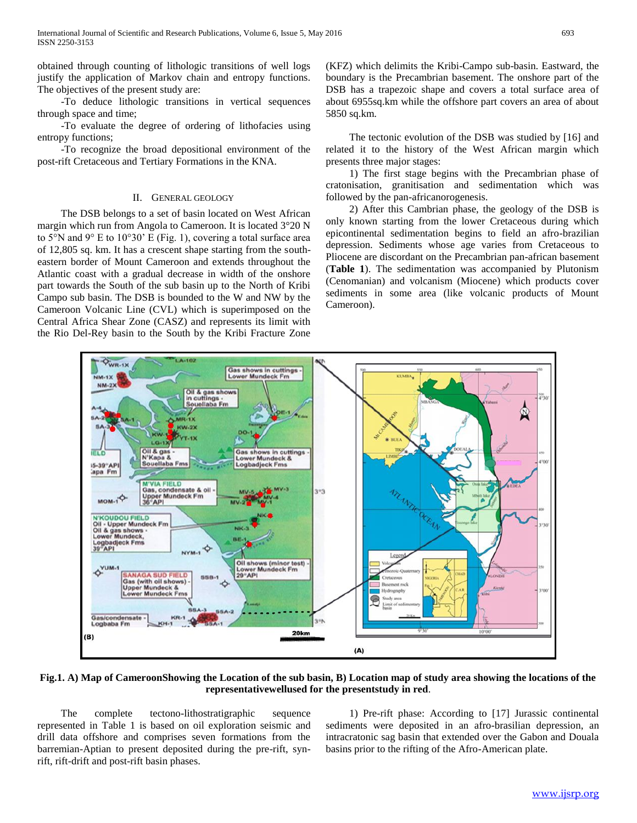obtained through counting of lithologic transitions of well logs justify the application of Markov chain and entropy functions. The objectives of the present study are:

 -To deduce lithologic transitions in vertical sequences through space and time;

 -To evaluate the degree of ordering of lithofacies using entropy functions;

 -To recognize the broad depositional environment of the post-rift Cretaceous and Tertiary Formations in the KNA.

#### II. GENERAL GEOLOGY

 The DSB belongs to a set of basin located on West African margin which run from Angola to Cameroon. It is located 3°20 N to 5°N and 9° E to 10°30' E (Fig. 1), covering a total surface area of 12,805 sq. km. It has a crescent shape starting from the southeastern border of Mount Cameroon and extends throughout the Atlantic coast with a gradual decrease in width of the onshore part towards the South of the sub basin up to the North of Kribi Campo sub basin. The DSB is bounded to the W and NW by the Cameroon Volcanic Line (CVL) which is superimposed on the Central Africa Shear Zone (CASZ) and represents its limit with the Rio Del-Rey basin to the South by the Kribi Fracture Zone

(KFZ) which delimits the Kribi-Campo sub-basin. Eastward, the boundary is the Precambrian basement. The onshore part of the DSB has a trapezoic shape and covers a total surface area of about 6955sq.km while the offshore part covers an area of about 5850 sq.km.

 The tectonic evolution of the DSB was studied by [16] and related it to the history of the West African margin which presents three major stages:

 1) The first stage begins with the Precambrian phase of cratonisation, granitisation and sedimentation which was followed by the pan-africanorogenesis.

 2) After this Cambrian phase, the geology of the DSB is only known starting from the lower Cretaceous during which epicontinental sedimentation begins to field an afro-brazilian depression. Sediments whose age varies from Cretaceous to Pliocene are discordant on the Precambrian pan-african basement (**Table 1**). The sedimentation was accompanied by Plutonism (Cenomanian) and volcanism (Miocene) which products cover sediments in some area (like volcanic products of Mount Cameroon).



#### **Fig.1. A) Map of CameroonShowing the Location of the sub basin, B) Location map of study area showing the locations of the representativewellused for the presentstudy in red**.

 The complete tectono-lithostratigraphic sequence represented in Table 1 is based on oil exploration seismic and drill data offshore and comprises seven formations from the barremian-Aptian to present deposited during the pre-rift, synrift, rift-drift and post-rift basin phases.

 1) Pre-rift phase: According to [17] Jurassic continental sediments were deposited in an afro-brasilian depression, an intracratonic sag basin that extended over the Gabon and Douala basins prior to the rifting of the Afro-American plate.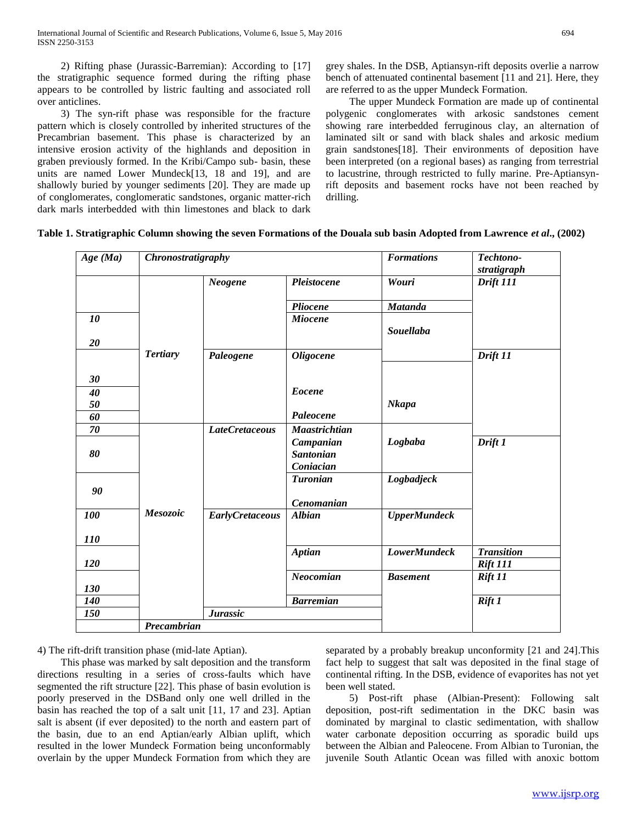2) Rifting phase (Jurassic-Barremian): According to [17] the stratigraphic sequence formed during the rifting phase appears to be controlled by listric faulting and associated roll over anticlines.

 3) The syn-rift phase was responsible for the fracture pattern which is closely controlled by inherited structures of the Precambrian basement. This phase is characterized by an intensive erosion activity of the highlands and deposition in graben previously formed. In the Kribi/Campo sub- basin, these units are named Lower Mundeck[13, 18 and 19], and are shallowly buried by younger sediments [20]. They are made up of conglomerates, conglomeratic sandstones, organic matter-rich dark marls interbedded with thin limestones and black to dark

grey shales. In the DSB, Aptiansyn-rift deposits overlie a narrow bench of attenuated continental basement [11 and 21]. Here, they are referred to as the upper Mundeck Formation.

 The upper Mundeck Formation are made up of continental polygenic conglomerates with arkosic sandstones cement showing rare interbedded ferruginous clay, an alternation of laminated silt or sand with black shales and arkosic medium grain sandstones[18]. Their environments of deposition have been interpreted (on a regional bases) as ranging from terrestrial to lacustrine, through restricted to fully marine. Pre-Aptiansynrift deposits and basement rocks have not been reached by drilling.

| Table 1. Stratigraphic Column showing the seven Formations of the Douala sub basin Adopted from Lawrence et al., (2002) |  |  |
|-------------------------------------------------------------------------------------------------------------------------|--|--|
|                                                                                                                         |  |  |

| Age (Ma)          | Chronostratigraphy |                        |                                            | <b>Formations</b>   | Techtono-<br>stratigraph   |
|-------------------|--------------------|------------------------|--------------------------------------------|---------------------|----------------------------|
|                   |                    | Neogene                | Pleistocene                                | Wouri               | Drift 111                  |
|                   |                    |                        | Pliocene                                   | <b>Matanda</b>      |                            |
| 10                |                    |                        | <b>Miocene</b>                             | <b>Souellaba</b>    |                            |
| 20                | <b>Tertiary</b>    | Paleogene              | <b>Oligocene</b>                           |                     | Drift 11                   |
| 30                |                    |                        |                                            |                     |                            |
| 40                |                    |                        | <b>Eocene</b>                              |                     |                            |
| 50<br>60          |                    |                        | Paleocene                                  | <b>Nkapa</b>        |                            |
| 70                |                    | <b>LateCretaceous</b>  | <b>Maastrichtian</b>                       |                     |                            |
| 80                |                    |                        | Campanian<br><b>Santonian</b><br>Coniacian | Logbaba             | Drift 1                    |
| 90                |                    |                        | <b>Turonian</b><br>Cenomanian              | Logbadjeck          |                            |
| 100               | Mesozoic           | <b>EarlyCretaceous</b> | <b>Albian</b>                              | <b>UpperMundeck</b> |                            |
| <b>110</b>        |                    |                        |                                            |                     |                            |
|                   |                    |                        | <b>Aptian</b>                              | <b>LowerMundeck</b> | <b>Transition</b>          |
| 120               |                    |                        | Neocomian                                  | <b>Basement</b>     | <b>Rift 111</b><br>Rift 11 |
| 130<br><b>140</b> |                    |                        | <b>Barremian</b>                           |                     | Rift 1                     |
| 150               |                    | <b>Jurassic</b>        |                                            |                     |                            |
|                   | Precambrian        |                        |                                            |                     |                            |

4) The rift-drift transition phase (mid-late Aptian).

 This phase was marked by salt deposition and the transform directions resulting in a series of cross-faults which have segmented the rift structure [22]. This phase of basin evolution is poorly preserved in the DSBand only one well drilled in the basin has reached the top of a salt unit [11, 17 and 23]. Aptian salt is absent (if ever deposited) to the north and eastern part of the basin, due to an end Aptian/early Albian uplift, which resulted in the lower Mundeck Formation being unconformably overlain by the upper Mundeck Formation from which they are

separated by a probably breakup unconformity [21 and 24].This fact help to suggest that salt was deposited in the final stage of continental rifting. In the DSB, evidence of evaporites has not yet been well stated.

 5) Post-rift phase (Albian-Present): Following salt deposition, post-rift sedimentation in the DKC basin was dominated by marginal to clastic sedimentation, with shallow water carbonate deposition occurring as sporadic build ups between the Albian and Paleocene. From Albian to Turonian, the juvenile South Atlantic Ocean was filled with anoxic bottom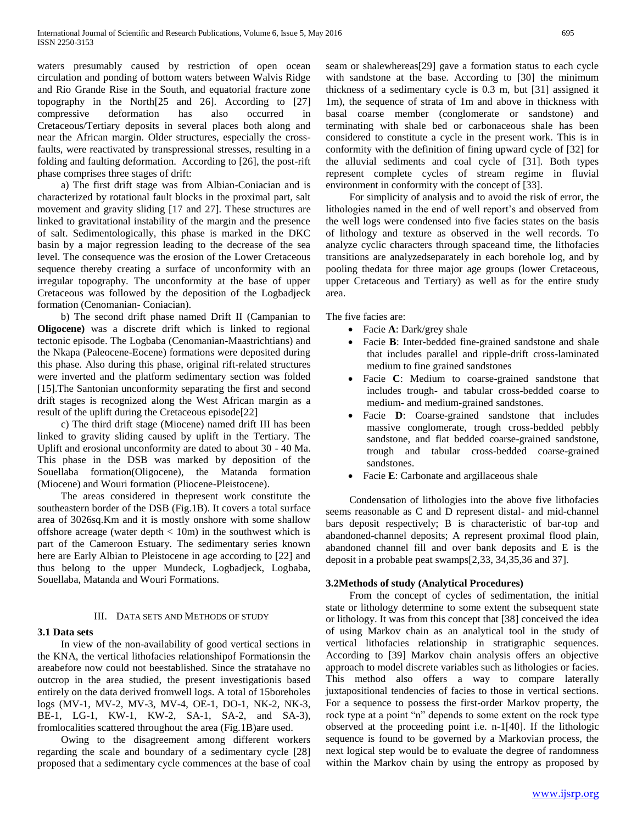waters presumably caused by restriction of open ocean circulation and ponding of bottom waters between Walvis Ridge and Rio Grande Rise in the South, and equatorial fracture zone topography in the North[25 and 26]. According to [27] compressive deformation has also occurred in Cretaceous/Tertiary deposits in several places both along and near the African margin. Older structures, especially the crossfaults, were reactivated by transpressional stresses, resulting in a folding and faulting deformation. According to [26], the post-rift phase comprises three stages of drift:

 a) The first drift stage was from Albian-Coniacian and is characterized by rotational fault blocks in the proximal part, salt movement and gravity sliding [17 and 27]. These structures are linked to gravitational instability of the margin and the presence of salt. Sedimentologically, this phase is marked in the DKC basin by a major regression leading to the decrease of the sea level. The consequence was the erosion of the Lower Cretaceous sequence thereby creating a surface of unconformity with an irregular topography. The unconformity at the base of upper Cretaceous was followed by the deposition of the Logbadjeck formation (Cenomanian- Coniacian).

 b) The second drift phase named Drift II (Campanian to **Oligocene)** was a discrete drift which is linked to regional tectonic episode. The Logbaba (Cenomanian-Maastrichtians) and the Nkapa (Paleocene-Eocene) formations were deposited during this phase. Also during this phase, original rift-related structures were inverted and the platform sedimentary section was folded [15].The Santonian unconformity separating the first and second drift stages is recognized along the West African margin as a result of the uplift during the Cretaceous episode[22]

 c) The third drift stage (Miocene) named drift III has been linked to gravity sliding caused by uplift in the Tertiary. The Uplift and erosional unconformity are dated to about 30 - 40 Ma. This phase in the DSB was marked by deposition of the Souellaba formation(Oligocene), the Matanda formation (Miocene) and Wouri formation (Pliocene-Pleistocene).

 The areas considered in thepresent work constitute the southeastern border of the DSB (Fig.1B). It covers a total surface area of 3026sq.Km and it is mostly onshore with some shallow offshore acreage (water depth  $< 10m$ ) in the southwest which is part of the Cameroon Estuary. The sedimentary series known here are Early Albian to Pleistocene in age according to [22] and thus belong to the upper Mundeck, Logbadjeck, Logbaba, Souellaba, Matanda and Wouri Formations.

#### III. DATA SETS AND METHODS OF STUDY

#### **3.1 Data sets**

 In view of the non-availability of good vertical sections in the KNA, the vertical lithofacies relationshipof Formationsin the areabefore now could not beestablished. Since the stratahave no outcrop in the area studied, the present investigationis based entirely on the data derived fromwell logs. A total of 15boreholes logs (MV-1, MV-2, MV-3, MV-4, OE-1, DO-1, NK-2, NK-3, BE-1, LG-1, KW-1, KW-2, SA-1, SA-2, and SA-3), fromlocalities scattered throughout the area (Fig*.*1B)are used.

 Owing to the disagreement among different workers regarding the scale and boundary of a sedimentary cycle [28] proposed that a sedimentary cycle commences at the base of coal seam or shalewhereas[29] gave a formation status to each cycle with sandstone at the base. According to [30] the minimum thickness of a sedimentary cycle is 0.3 m, but [31] assigned it 1m), the sequence of strata of 1m and above in thickness with basal coarse member (conglomerate or sandstone) and terminating with shale bed or carbonaceous shale has been considered to constitute a cycle in the present work. This is in conformity with the definition of fining upward cycle of [32] for the alluvial sediments and coal cycle of [31]. Both types represent complete cycles of stream regime in fluvial environment in conformity with the concept of [33].

 For simplicity of analysis and to avoid the risk of error, the lithologies named in the end of well report's and observed from the well logs were condensed into five facies states on the basis of lithology and texture as observed in the well records. To analyze cyclic characters through spaceand time, the lithofacies transitions are analyzedseparately in each borehole log, and by pooling thedata for three major age groups (lower Cretaceous, upper Cretaceous and Tertiary) as well as for the entire study area.

The five facies are:

- Facie **A**: Dark/grey shale
- Facie **B**: Inter-bedded fine-grained sandstone and shale that includes parallel and ripple-drift cross-laminated medium to fine grained sandstones
- Facie **C**: Medium to coarse-grained sandstone that includes trough- and tabular cross-bedded coarse to medium- and medium-grained sandstones.
- Facie **D**: Coarse-grained sandstone that includes massive conglomerate, trough cross-bedded pebbly sandstone, and flat bedded coarse-grained sandstone, trough and tabular cross-bedded coarse-grained sandstones.
- Facie **E**: Carbonate and argillaceous shale

 Condensation of lithologies into the above five lithofacies seems reasonable as C and D represent distal- and mid-channel bars deposit respectively; B is characteristic of bar-top and abandoned-channel deposits; A represent proximal flood plain, abandoned channel fill and over bank deposits and E is the deposit in a probable peat swamps[2,33, 34,35,36 and 37].

#### **3.2Methods of study (Analytical Procedures)**

 From the concept of cycles of sedimentation, the initial state or lithology determine to some extent the subsequent state or lithology. It was from this concept that [38] conceived the idea of using Markov chain as an analytical tool in the study of vertical lithofacies relationship in stratigraphic sequences. According to [39] Markov chain analysis offers an objective approach to model discrete variables such as lithologies or facies. This method also offers a way to compare laterally juxtapositional tendencies of facies to those in vertical sections. For a sequence to possess the first-order Markov property, the rock type at a point "n" depends to some extent on the rock type observed at the proceeding point i.e. n-1[40]. If the lithologic sequence is found to be governed by a Markovian process, the next logical step would be to evaluate the degree of randomness within the Markov chain by using the entropy as proposed by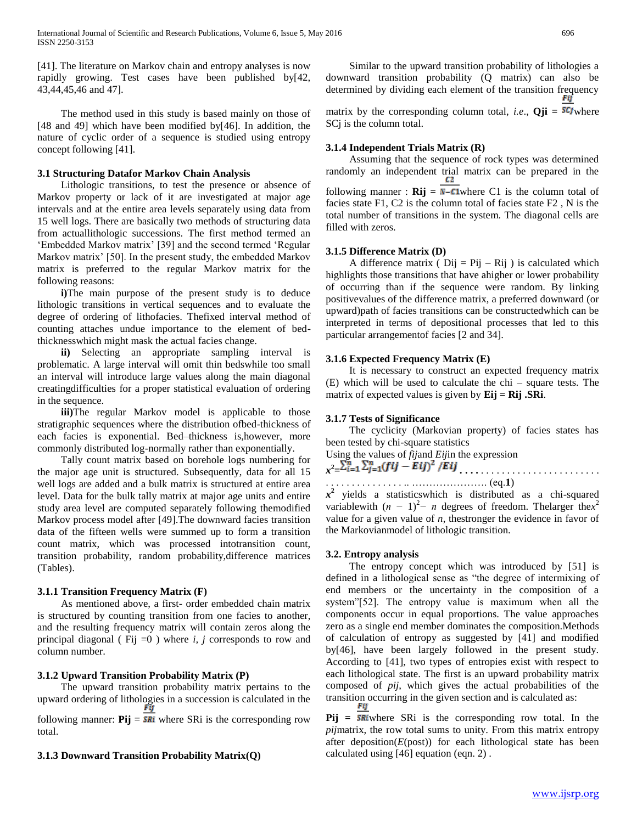[41]. The literature on Markov chain and entropy analyses is now rapidly growing. Test cases have been published by[42, 43,44,45,46 and 47].

 The method used in this study is based mainly on those of [48 and 49] which have been modified by[46]. In addition, the nature of cyclic order of a sequence is studied using entropy concept following [41].

#### **3.1 Structuring Datafor Markov Chain Analysis**

 Lithologic transitions, to test the presence or absence of Markov property or lack of it are investigated at major age intervals and at the entire area levels separately using data from 15 well logs. There are basically two methods of structuring data from actuallithologic successions. The first method termed an 'Embedded Markov matrix' [39] and the second termed 'Regular Markov matrix' [50]. In the present study, the embedded Markov matrix is preferred to the regular Markov matrix for the following reasons:

**i**)The main purpose of the present study is to deduce lithologic transitions in vertical sequences and to evaluate the degree of ordering of lithofacies. Thefixed interval method of counting attaches undue importance to the element of bedthicknesswhich might mask the actual facies change.

 **ii)** Selecting an appropriate sampling interval is problematic. A large interval will omit thin bedswhile too small an interval will introduce large values along the main diagonal creatingdifficulties for a proper statistical evaluation of ordering in the sequence.

**iii**)The regular Markov model is applicable to those stratigraphic sequences where the distribution ofbed-thickness of each facies is exponential. Bed–thickness is,however, more commonly distributed log-normally rather than exponentially.

 Tally count matrix based on borehole logs numbering for the major age unit is structured. Subsequently, data for all 15 well logs are added and a bulk matrix is structured at entire area level. Data for the bulk tally matrix at major age units and entire study area level are computed separately following themodified Markov process model after [49].The downward facies transition data of the fifteen wells were summed up to form a transition count matrix, which was processed intotransition count, transition probability, random probability,difference matrices (Tables).

## **3.1.1 Transition Frequency Matrix (F)**

 As mentioned above, a first- order embedded chain matrix is structured by counting transition from one facies to another, and the resulting frequency matrix will contain zeros along the principal diagonal ( Fij =0 ) where *i, j* corresponds to row and column number.

## **3.1.2 Upward Transition Probability Matrix (P)**

 The upward transition probability matrix pertains to the upward ordering of lithologies in a succession is calculated in the  $\mathbf{F}^{\mathbf{y}}$ following manner:  $Pij = \overline{ski}$  where SRi is the corresponding row total.

## **3.1.3 Downward Transition Probability Matrix(Q)**

 Similar to the upward transition probability of lithologies a downward transition probability (Q matrix) can also be determined by dividing each element of the transition frequency  $\mathbf{F}$ matrix by the corresponding column total, *i.e.*,  $Qji =$   $SCJ$  where SC<sub>j</sub> is the column total.

#### **3.1.4 Independent Trials Matrix (R)**

 Assuming that the sequence of rock types was determined randomly an independent trial matrix can be prepared in the following manner :  $\mathbf{Rij} = N - C1$  where C1 is the column total of facies state F1, C2 is the column total of facies state F2 , N is the total number of transitions in the system. The diagonal cells are filled with zeros.

#### **3.1.5 Difference Matrix (D)**

A difference matrix ( $Dij = Pij - Rij$ ) is calculated which highlights those transitions that have ahigher or lower probability of occurring than if the sequence were random. By linking positivevalues of the difference matrix, a preferred downward (or upward)path of facies transitions can be constructedwhich can be interpreted in terms of depositional processes that led to this particular arrangementof facies [2 and 34].

#### **3.1.6 Expected Frequency Matrix (E)**

 It is necessary to construct an expected frequency matrix (E) which will be used to calculate the chi – square tests. The matrix of expected values is given by **Eij = Rij .SRi**.

## **3.1.7 Tests of Significance**

 The cyclicity (Markovian property) of facies states has been tested by chi-square statistics

Using the values of *fij*and *Eij*in the expression

$$
x^2 = \sum_{i=1}^n \sum_{j=1}^n (fij - Eij)^2 / Eij
$$

. . . . . . . . . . . . . . . .. …………………. (eq.**1**)

 $x^2$  yields a statistics which is distributed as a chi-squared variablewith  $(n - 1)^2 - n$  degrees of freedom. The larger the *x*<sup>2</sup> value for a given value of *n*, thestronger the evidence in favor of the Markovianmodel of lithologic transition.

## **3.2. Entropy analysis**

 The entropy concept which was introduced by [51] is defined in a lithological sense as "the degree of intermixing of end members or the uncertainty in the composition of a system"[52]. The entropy value is maximum when all the components occur in equal proportions. The value approaches zero as a single end member dominates the composition.Methods of calculation of entropy as suggested by [41] and modified by[46], have been largely followed in the present study. According to [41], two types of entropies exist with respect to each lithological state. The first is an upward probability matrix composed of *pij*, which gives the actual probabilities of the transition occurring in the given section and is calculated as:

 $Pij = SRi$  where SRi is the corresponding row total. In the *pij*matrix, the row total sums to unity. From this matrix entropy after deposition $(E(\text{post}))$  for each lithological state has been calculated using [46] equation (eqn. 2) .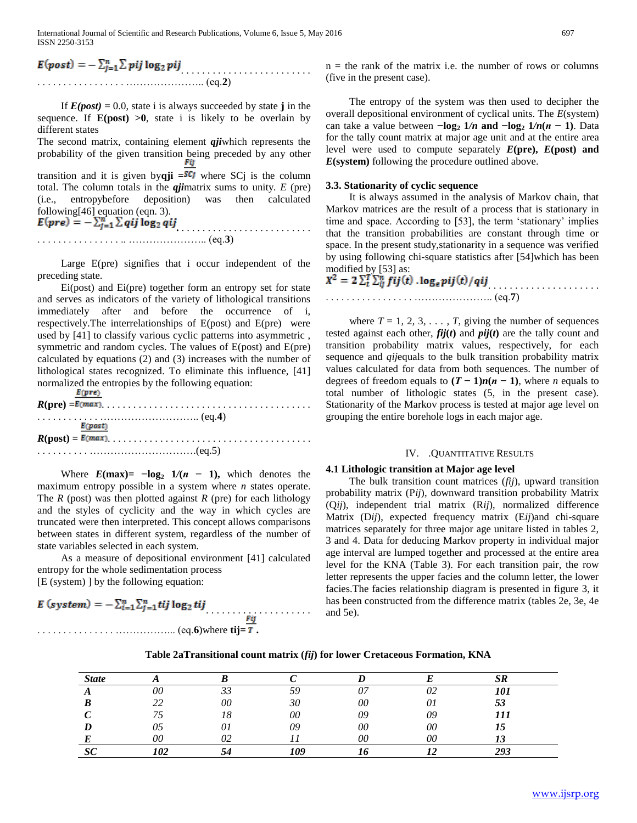International Journal of Scientific and Research Publications, Volume 6, Issue 5, May 2016 697 ISSN 2250-3153

## $E(post) = -\sum_{j=1}^{n} \sum pij \log_2pij$ . . . . . . . . . . . . . . . . . ………………….. (eq.**2**)

If  $E(post) = 0.0$ , state i is always succeeded by state **j** in the sequence. If **E(post) >0**, state i is likely to be overlain by different states

The second matrix, containing element *qji*which represents the probability of the given transition being preceded by any other transition and it is given byqji = SCJ where SC<sub>J</sub> is the column total. The column totals in the *qji*matrix sums to unity*. E* (pre) (i.e., entropybefore deposition) was then calculated following[46] equation (eqn. 3).  $E(\textbf{pre}) = -\sum_{j=1}^{n} \sum qij \log_2 qij$ 

. . . . . . . . . . . . . . . . .. ………………….. (eq.**3**)

 Large E(pre) signifies that i occur independent of the preceding state.

 Ei(post) and Ei(pre) together form an entropy set for state and serves as indicators of the variety of lithological transitions immediately after and before the occurrence of i, respectively.The interrelationships of E(post) and E(pre) were used by [41] to classify various cyclic patterns into asymmetric , symmetric and random cycles. The values of E(post) and E(pre) calculated by equations (2) and (3) increases with the number of lithological states recognized. To eliminate this influence, [41] normalized the entropies by the following equation:<br> $E(\text{pre})$ 

| E(post)                                                                        |
|--------------------------------------------------------------------------------|
|                                                                                |
| $\ldots \ldots \ldots \ldots \ldots \ldots \ldots \ldots \ldots \ldots (eq.5)$ |

Where  $E(max) = -\log_2 1/(n - 1)$ , which denotes the maximum entropy possible in a system where *n* states operate. The *R* (post) was then plotted against *R* (pre) for each lithology and the styles of cyclicity and the way in which cycles are truncated were then interpreted. This concept allows comparisons between states in different system, regardless of the number of state variables selected in each system.

 As a measure of depositional environment [41] calculated entropy for the whole sedimentation process [E (system) ] by the following equation:

$$
E (system) = -\sum_{i=1}^{n} \sum_{j=1}^{n} tij \log_2 tij
$$
  
... (eq.6) where  $tij = T$ .

 $n =$  the rank of the matrix i.e. the number of rows or columns (five in the present case).

 The entropy of the system was then used to decipher the overall depositional environment of cyclical units. The *E*(system) can take a value between  $-\log_2 1/n$  and  $-\log_2 1/n(n-1)$ . Data for the tally count matrix at major age unit and at the entire area level were used to compute separately  $E(\text{pre})$ ,  $E(\text{post})$  and *E***(system)** following the procedure outlined above.

#### **3.3. Stationarity of cyclic sequence**

 It is always assumed in the analysis of Markov chain, that Markov matrices are the result of a process that is stationary in time and space. According to [53], the term 'stationary' implies that the transition probabilities are constant through time or space. In the present study,stationarity in a sequence was verified by using following chi-square statistics after [54]which has been modified by [53] as:

| $X^2 = 2\sum_{t=1}^{T} \sum_{ij}^{n} fij(t)$ . $\log_e pij(t)/qij$ |  |
|--------------------------------------------------------------------|--|
|                                                                    |  |

where  $T = 1, 2, 3, \ldots, T$ , giving the number of sequences tested against each other,  $fij(t)$  and  $pij(t)$  are the tally count and transition probability matrix values, respectively, for each sequence and *qij*equals to the bulk transition probability matrix values calculated for data from both sequences. The number of degrees of freedom equals to  $(T - 1)n(n - 1)$ , where *n* equals to total number of lithologic states (5, in the present case). Stationarity of the Markov process is tested at major age level on grouping the entire borehole logs in each major age.

#### IV. .QUANTITATIVE RESULTS

#### **4.1 Lithologic transition at Major age level**

 The bulk transition count matrices (*fij*), upward transition probability matrix (P*ij*), downward transition probability Matrix (Q*ij*), independent trial matrix (R*ij*), normalized difference Matrix (D*ij*), expected frequency matrix (E*ij*)and chi-square matrices separately for three major age unitare listed in tables 2, 3 and 4. Data for deducing Markov property in individual major age interval are lumped together and processed at the entire area level for the KNA (Table 3). For each transition pair, the row letter represents the upper facies and the column letter, the lower facies.The facies relationship diagram is presented in figure 3, it has been constructed from the difference matrix (tables 2e, 3e, 4e and 5e).

| <b>State</b> |     |    |     |    |    | cв<br>IJN |  |
|--------------|-----|----|-----|----|----|-----------|--|
|              | 00  | 33 | 5G  | 07 | 02 | 101       |  |
| B            | ∠∠  | 00 | 30  | 00 | 01 | 53        |  |
|              |     | 18 | 00  | 09 | 09 | 111       |  |
| D            | 05  |    | 09  | 00 | 00 | 15        |  |
|              | 00  | ∩ว |     | 00 | 00 | IJ        |  |
| $\alpha$     | 102 |    | 109 |    |    | 293       |  |

#### **Table 2aTransitional count matrix (***fij***) for lower Cretaceous Formation, KNA**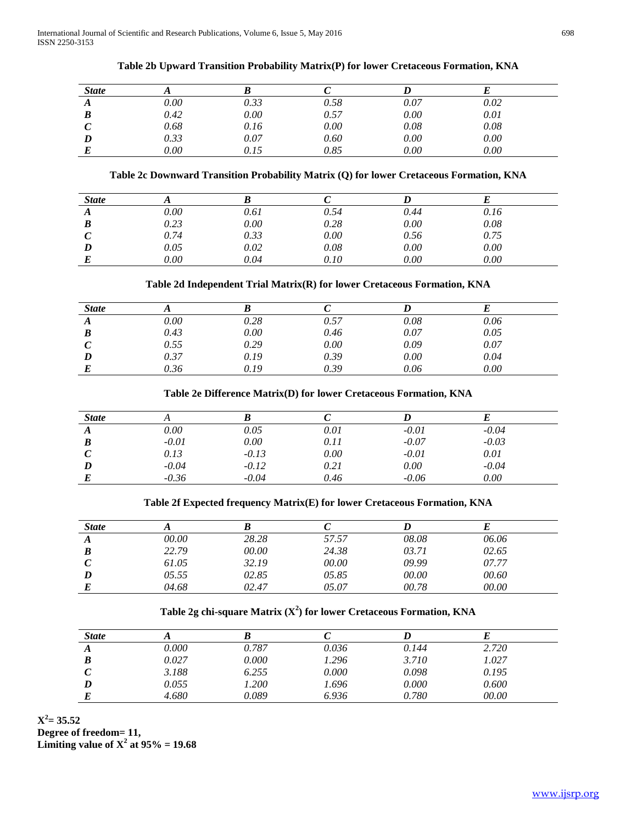| <b>State</b> |          |          |      |      |      |  |
|--------------|----------|----------|------|------|------|--|
| A            | $0.00\,$ | 0.33     | 0.58 | 0.07 | 0.02 |  |
| B            | 0.42     | 0.00     | 0.57 | 0.00 | 0.01 |  |
|              | 0.68     | 0.16     | 0.00 | 0.08 | 0.08 |  |
|              | 0.33     | $0.07\,$ | 0.60 | 0.00 | 0.00 |  |
|              | $0.00\,$ | 0.15     | 0.85 | 0.00 | 0.00 |  |

## **Table 2b Upward Transition Probability Matrix(P) for lower Cretaceous Formation, KNA**

## **Table 2c Downward Transition Probability Matrix (Q) for lower Cretaceous Formation, KNA**

| <b>State</b> |          |      |      |          |      |  |
|--------------|----------|------|------|----------|------|--|
| A            | $0.00\,$ | 0.61 | 0.54 | 0.44     | 0.16 |  |
| B            | 0.23     | 0.00 | 0.28 | 0.00     | 0.08 |  |
| $\mathcal C$ | 0.74     | 0.33 | 0.00 | 0.56     | 0.75 |  |
| D            | 0.05     | 0.02 | 0.08 | 0.00     | 0.00 |  |
| E            | $0.00\,$ | 0.04 | 0.10 | $0.00\,$ | 0.00 |  |

## **Table 2d Independent Trial Matrix(R) for lower Cretaceous Formation, KNA**

| <b>State</b> |          |      |      |      |      |  |
|--------------|----------|------|------|------|------|--|
| A            | $0.00\,$ | 0.28 | 0.57 | 0.08 | 0.06 |  |
| B            | 0.43     | 0.00 | 0.46 | 0.07 | 0.05 |  |
|              | 0.55     | 0.29 | 0.00 | 0.09 | 0.07 |  |
|              | 0.37     | 0.19 | 0.39 | 0.00 | 0.04 |  |
|              | 0.36     | 0.19 | 0.39 | 0.06 | 0.00 |  |

#### **Table 2e Difference Matrix(D) for lower Cretaceous Formation, KNA**

| <b>State</b> |          |         |      |         |         |  |
|--------------|----------|---------|------|---------|---------|--|
| A            | $0.00\,$ | 0.05    | 0.01 | $-0.01$ | $-0.04$ |  |
| B            | $-0.01$  | 0.00    | 0.11 | $-0.07$ | $-0.03$ |  |
|              | 0.13     | $-0.13$ | 0.00 | $-0.01$ | 0.01    |  |
| D            | $-0.04$  | $-0.12$ | 0.21 | 0.00    | $-0.04$ |  |
|              | $-0.36$  | $-0.04$ | 0.46 | $-0.06$ | 0.00    |  |
|              |          |         |      |         |         |  |

## **Table 2f Expected frequency Matrix(E) for lower Cretaceous Formation, KNA**

| <b>State</b> |       |       |       |       |       |  |
|--------------|-------|-------|-------|-------|-------|--|
| A            | 00.00 | 28.28 | 57.57 | 08.08 | 06.06 |  |
| B            | 22.79 | 00.00 | 24.38 | 03.71 | 02.65 |  |
|              | 61.05 | 32.19 | 00.00 | 09.99 | 07.77 |  |
| D            | 05.55 | 02.85 | 05.85 | 00.00 | 00.60 |  |
|              | 04.68 | 02.47 | 05.07 | 00.78 | 00.00 |  |
|              |       |       |       |       |       |  |

## **Table 2g chi-square Matrix (X<sup>2</sup> ) for lower Cretaceous Formation, KNA**

| <b>State</b> |       |       |       |       |       |  |
|--------------|-------|-------|-------|-------|-------|--|
| A            | 0.000 | 0.787 | 0.036 | 0.144 | 2.720 |  |
| B            | 0.027 | 0.000 | 1.296 | 3.710 | 1.027 |  |
|              | 3.188 | 6.255 | 0.000 | 0.098 | 0.195 |  |
|              | 0.055 | 1.200 | 1.696 | 0.000 | 0.600 |  |
|              | 4.680 | 0.089 | 6.936 | 0.780 | 00.00 |  |

 $X^2 = 35.52$ **Degree of freedom= 11, Limiting value of**  $X^2$  **at 95% = 19.68**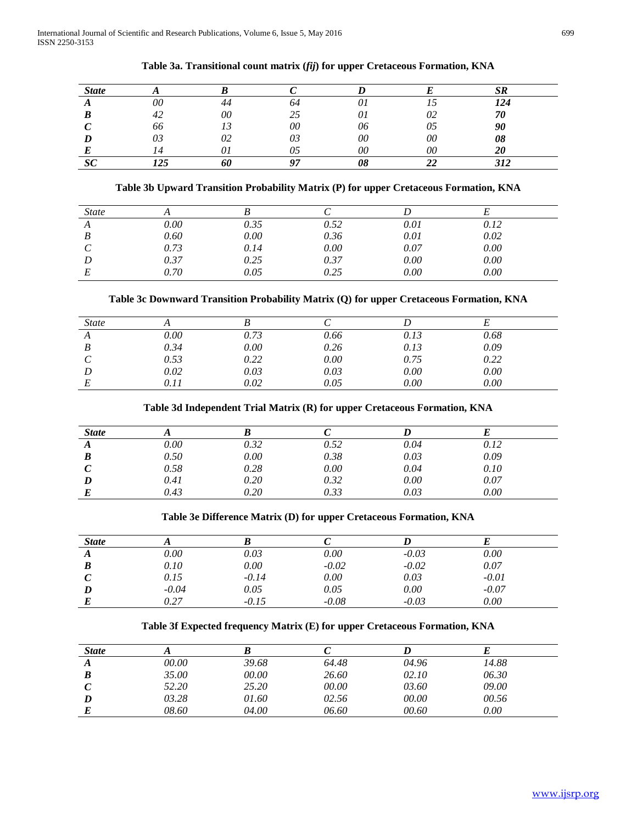| <b>State</b> |     |    |              |    |    | CΠ  |
|--------------|-----|----|--------------|----|----|-----|
|              | 00  | +4 | 04           |    |    | 124 |
|              | 42  | 00 |              | UΙ | 02 | 70  |
|              | 66  |    | 00           | 06 | 05 | 90  |
|              | 03  | 02 |              | 00 | 00 | 08  |
|              |     |    |              | 00 | 00 | 20  |
|              | 175 |    | $\mathbf{A}$ |    |    | 212 |

#### **Table 3a. Transitional count matrix (***fij***) for upper Cretaceous Formation, KNA**

## **Table 3b Upward Transition Probability Matrix (P) for upper Cretaceous Formation, KNA**

| <i>State</i> |      |      |      |      |      |
|--------------|------|------|------|------|------|
| A            | 0.00 | 0.35 | 0.52 | 0.01 | 0.12 |
| B            | 0.60 | 0.00 | 0.36 | 0.01 | 0.02 |
|              | 0.73 | 0.14 | 0.00 | 0.07 | 0.00 |
|              | 0.37 | 0.25 | 0.37 | 0.00 | 0.00 |
|              | 0.70 | 0.05 | 0.25 | 0.00 | 0.00 |

## **Table 3c Downward Transition Probability Matrix (Q) for upper Cretaceous Formation, KNA**

| <b>State</b> |      |      |      |      |      |
|--------------|------|------|------|------|------|
| A            | 0.00 | 0.73 | 0.66 | 0.13 | 0.68 |
|              | 0.34 | 0.00 | 0.26 | 0.13 | 0.09 |
|              | 0.53 | 0.22 | 0.00 | 0.75 | 0.22 |
|              | 0.02 | 0.03 | 0.03 | 0.00 | 0.00 |
|              | 0.11 | 0.02 | 0.05 | 0.00 | 0.00 |

#### **Table 3d Independent Trial Matrix (R) for upper Cretaceous Formation, KNA**

| <b>State</b> |      |      |      |      |      |  |
|--------------|------|------|------|------|------|--|
| A            | 0.00 | 0.32 | 0.52 | 0.04 | 0.12 |  |
| B            | 0.50 | 0.00 | 0.38 | 0.03 | 0.09 |  |
|              | 0.58 | 0.28 | 0.00 | 0.04 | 0.10 |  |
|              | 0.41 | 0.20 | 0.32 | 0.00 | 0.07 |  |
|              | 0.43 | 0.20 | 0.33 | 0.03 | 0.00 |  |

#### **Table 3e Difference Matrix (D) for upper Cretaceous Formation, KNA**

| <b>State</b> |         |         |         |         |         |  |
|--------------|---------|---------|---------|---------|---------|--|
| A            | 0.00    | 0.03    | 0.00    | $-0.03$ | 0.00    |  |
| B            | 0.10    | 0.00    | $-0.02$ | $-0.02$ | 0.07    |  |
|              | 0.15    | $-0.14$ | 0.00    | 0.03    | $-0.01$ |  |
|              | $-0.04$ | 0.05    | 0.05    | 0.00    | $-0.07$ |  |
|              | 0.27    | $-0.15$ | $-0.08$ | $-0.03$ | 0.00    |  |

## **Table 3f Expected frequency Matrix (E) for upper Cretaceous Formation, KNA**

| <b>State</b> |       |       |       |       |       |  |
|--------------|-------|-------|-------|-------|-------|--|
| A            | 00.00 | 39.68 | 64.48 | 04.96 | 14.88 |  |
| B            | 35.00 | 00.00 | 26.60 | 02.10 | 06.30 |  |
|              | 52.20 | 25.20 | 00.00 | 03.60 | 09.00 |  |
|              | 03.28 | 01.60 | 02.56 | 00.00 | 00.56 |  |
| E            | 08.60 | 04.00 | 06.60 | 00.60 | 0.00  |  |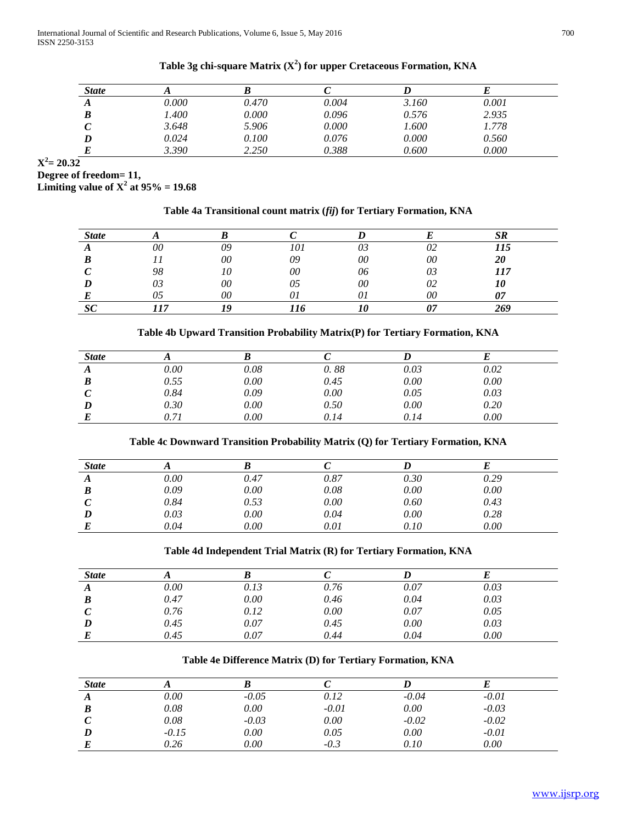| <b>State</b> |       |       |       |       |       |  |
|--------------|-------|-------|-------|-------|-------|--|
| A            | 0.000 | 0.470 | 0.004 | 3.160 | 0.001 |  |
|              | 1.400 | 0.000 | 0.096 | 0.576 | 2.935 |  |
| ັ            | 3.648 | 5.906 | 0.000 | 1.600 | 1.778 |  |
|              | 0.024 | 0.100 | 0.076 | 0.000 | 0.560 |  |
|              | 3.390 | 2.250 | 0.388 | 0.600 | 0.000 |  |

## **Table 3g chi-square Matrix (X<sup>2</sup> ) for upper Cretaceous Formation, KNA**

 $X^2 = 20.32$ 

**Degree of freedom= 11,** 

**Limiting value of**  $X^2$  **at 95% = 19.68** 

## **Table 4a Transitional count matrix (***fij***) for Tertiary Formation, KNA**

| <b>State</b> |                          |    |     |    |    |     |
|--------------|--------------------------|----|-----|----|----|-----|
|              | 00                       | 09 | 101 | 03 | 02 | 115 |
|              |                          | 00 | 09  | 00 | 00 | 20  |
|              | 98                       |    | 00  | 06 | 03 | 117 |
|              | റാ<br>UÍ                 | 00 | w   | 00 | 02 |     |
|              |                          | 00 |     |    | 00 |     |
|              | $\overline{\phantom{a}}$ |    |     |    |    | 269 |

## **Table 4b Upward Transition Probability Matrix(P) for Tertiary Formation, KNA**

| <b>State</b> |      |      |      |      |      |  |
|--------------|------|------|------|------|------|--|
| A            | 0.00 | 0.08 | 0.88 | 0.03 | 0.02 |  |
| B            | 0.55 | 0.00 | 0.45 | 0.00 | 0.00 |  |
|              | 0.84 | 0.09 | 0.00 | 0.05 | 0.03 |  |
|              | 0.30 | 0.00 | 0.50 | 0.00 | 0.20 |  |
|              | J.7J | 0.00 | 0.14 | 0.14 | 0.00 |  |

## **Table 4c Downward Transition Probability Matrix (Q) for Tertiary Formation, KNA**

| <b>State</b> |      |      |      |      |      |  |
|--------------|------|------|------|------|------|--|
| А            | 0.00 | 0.47 | 0.87 | 0.30 | 0.29 |  |
| B            | 0.09 | 0.00 | 0.08 | 0.00 | 0.00 |  |
|              | 0.84 | 0.53 | 0.00 | 0.60 | 0.43 |  |
|              | 0.03 | 0.00 | 0.04 | 0.00 | 0.28 |  |
|              | 0.04 | 0.00 | 0.01 | 0.10 | 0.00 |  |

#### **Table 4d Independent Trial Matrix (R) for Tertiary Formation, KNA**

| <b>State</b> |      |      |      |      |      |  |
|--------------|------|------|------|------|------|--|
| A            | 0.00 | 0.13 | 0.76 | 0.07 | 0.03 |  |
| B            | 0.47 | 0.00 | 0.46 | 0.04 | 0.03 |  |
|              | 0.76 | 0.12 | 0.00 | 0.07 | 0.05 |  |
|              | 0.45 | 0.07 | 0.45 | 0.00 | 0.03 |  |
|              | 0.45 | 0.07 | 0.44 | 0.04 | 0.00 |  |

## **Table 4e Difference Matrix (D) for Tertiary Formation, KNA**

| <b>State</b> |         |         |         |         |         |  |
|--------------|---------|---------|---------|---------|---------|--|
|              | 0.00    | $-0.05$ | 0.12    | $-0.04$ | $-0.01$ |  |
|              | 0.08    | 0.00    | $-0.01$ | 0.00    | $-0.03$ |  |
|              | 0.08    | $-0.03$ | 0.00    | $-0.02$ | $-0.02$ |  |
|              | $-0.15$ | 0.00    | 0.05    | 0.00    | $-0.01$ |  |
|              | 0.26    | 0.00    | $-0.3$  | 0.10    | 0.00    |  |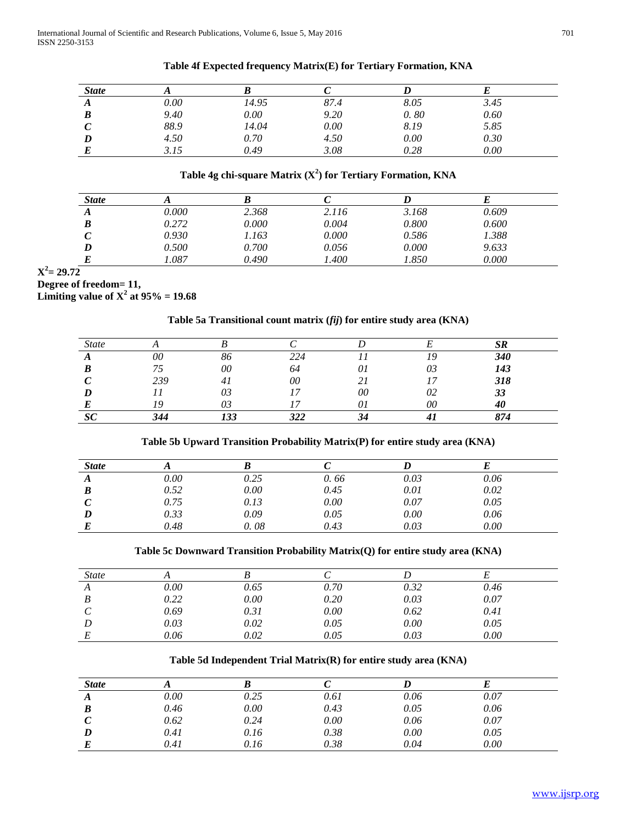| <b>State</b> |          |       |      |      |      |  |
|--------------|----------|-------|------|------|------|--|
| A            | $0.00\,$ | 14.95 | 87.4 | 8.05 | 3.45 |  |
| B            | 9.40     | 0.00  | 9.20 | 0.80 | 0.60 |  |
| ◡            | 88.9     | 14.04 | 0.00 | 8.19 | 5.85 |  |
| D            | 4.50     | 0.70  | 4.50 | 0.00 | 0.30 |  |
|              | 3.15     | 0.49  | 3.08 | 0.28 | 0.00 |  |

## **Table 4f Expected frequency Matrix(E) for Tertiary Formation, KNA**

## **Table 4g chi-square Matrix (X<sup>2</sup> ) for Tertiary Formation, KNA**

| <b>State</b> |       |       |       |       |       |  |
|--------------|-------|-------|-------|-------|-------|--|
| A            | 0.000 | 2.368 | 2.116 | 3.168 | 0.609 |  |
| B            | 0.272 | 0.000 | 0.004 | 0.800 | 0.600 |  |
|              | 0.930 | 1.163 | 0.000 | 0.586 | 1.388 |  |
|              | 0.500 | 0.700 | 0.056 | 0.000 | 9.633 |  |
|              | 1.087 | 0.490 | 1.400 | 1.850 | 0.000 |  |

## $X^2 = 29.72$

## **Degree of freedom= 11,**

**Limiting value of**  $X^2$  **at 95% = 19.68** 

## **Table 5a Transitional count matrix (***fij***) for entire study area (KNA)**

|     |    |     |    |    | CD  |
|-----|----|-----|----|----|-----|
| 00  | 86 | 224 |    |    | 340 |
|     | 00 | 64  | 01 | 03 | 143 |
| 239 |    | 00  |    |    | 318 |
|     | 03 |     | 00 | 02 | 33  |
|     |    |     |    | 00 | 40  |
|     |    |     |    |    | 874 |

## **Table 5b Upward Transition Probability Matrix(P) for entire study area (KNA)**

| <b>State</b> |      |      |      |      |      |  |
|--------------|------|------|------|------|------|--|
| A            | 0.00 | 0.25 | 0.66 | 0.03 | 0.06 |  |
| B            | 0.52 | 0.00 | 0.45 | 0.01 | 0.02 |  |
|              | 0.75 | 0.13 | 0.00 | 0.07 | 0.05 |  |
|              | 0.33 | 0.09 | 0.05 | 0.00 | 0.06 |  |
|              | 0.48 | 0.08 | 0.43 | 0.03 | 0.00 |  |
|              |      |      |      |      |      |  |

#### **Table 5c Downward Transition Probability Matrix(Q) for entire study area (KNA)**

| <i>State</i> |          |      |      |      |      |  |
|--------------|----------|------|------|------|------|--|
| A            | $0.00\,$ | 0.65 | 0.70 | 0.32 | 0.46 |  |
| B            | 0.22     | 0.00 | 0.20 | 0.03 | 0.07 |  |
|              | 0.69     | 0.31 | 0.00 | 0.62 | 0.41 |  |
|              | 0.03     | 0.02 | 0.05 | 0.00 | 0.05 |  |
|              | 0.06     | 0.02 | 0.05 | 0.03 | 0.00 |  |

## **Table 5d Independent Trial Matrix(R) for entire study area (KNA)**

| <b>State</b> |      |      |      |      |      |
|--------------|------|------|------|------|------|
| A            | 0.00 | 0.25 | 0.61 | 0.06 | 0.07 |
| B            | 0.46 | 0.00 | 0.43 | 0.05 | 0.06 |
|              | 0.62 | 0.24 | 0.00 | 0.06 | 0.07 |
|              | 0.41 | 0.16 | 0.38 | 0.00 | 0.05 |
|              | 0.41 | 0.16 | 0.38 | 0.04 | 0.00 |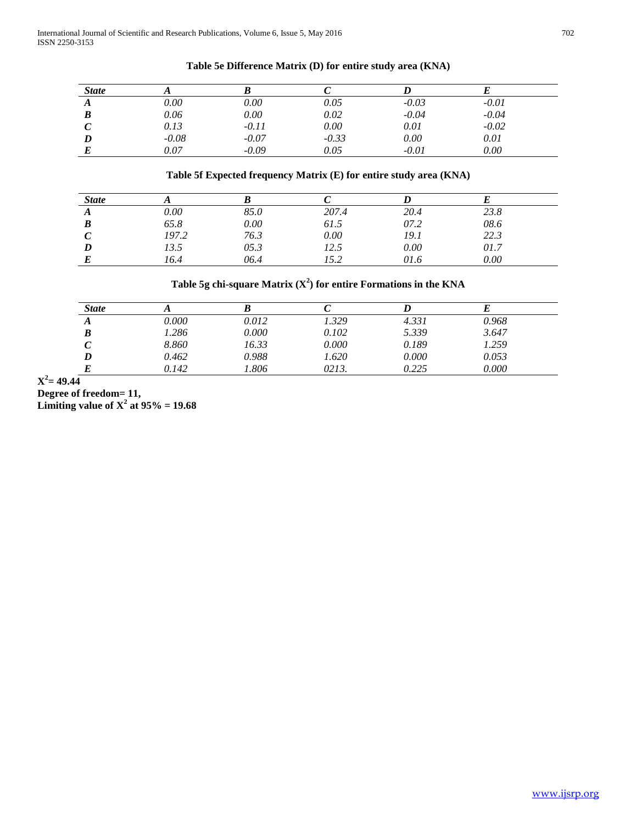| <b>State</b> |          |         |         |         |         |  |
|--------------|----------|---------|---------|---------|---------|--|
| A            | $0.00\,$ | 0.00    | 0.05    | $-0.03$ | $-0.01$ |  |
| B            | 0.06     | 0.00    | 0.02    | $-0.04$ | $-0.04$ |  |
|              | 0.13     | $-0.11$ | 0.00    | 0.01    | $-0.02$ |  |
|              | $-0.08$  | $-0.07$ | $-0.33$ | 0.00    | 0.01    |  |
|              | 0.07     | $-0.09$ | 0.05    | $-0.01$ | 0.00    |  |

## **Table 5e Difference Matrix (D) for entire study area (KNA)**

## **Table 5f Expected frequency Matrix (E) for entire study area (KNA)**

| <b>State</b> |          |      |       |      |      |  |
|--------------|----------|------|-------|------|------|--|
| л            | $0.00\,$ | 85.0 | 207.4 | 20.4 | 23.8 |  |
|              | 65.8     | 0.00 | 61.5  | 07.2 | 08.6 |  |
|              | 197.2    | 76.3 | 0.00  | 19.1 | 22.3 |  |
|              | 13.5     | 05.3 | 12.5  | 0.00 | 01.7 |  |
|              | 16.4     | 06.4 | 15.2  | 01.6 | 0.00 |  |

## Table 5g chi-square Matrix  $(X^2)$  for entire Formations in the KNA

| <b>State</b> |       |       |       |       |       |  |
|--------------|-------|-------|-------|-------|-------|--|
| A            | 0.000 | 0.012 | 1.329 | 4.331 | 0.968 |  |
| B            | 1.286 | 0.000 | 0.102 | 5.339 | 3.647 |  |
|              | 8.860 | 16.33 | 0.000 | 0.189 | 1.259 |  |
|              | 0.462 | 0.988 | 1.620 | 0.000 | 0.053 |  |
|              | 0.142 | 1.806 | 0213. | 0.225 | 0.000 |  |

 $X^2 = 49.44$ 

**Degree of freedom= 11,** 

**Limiting value of**  $X^2$  **at 95% = 19.68**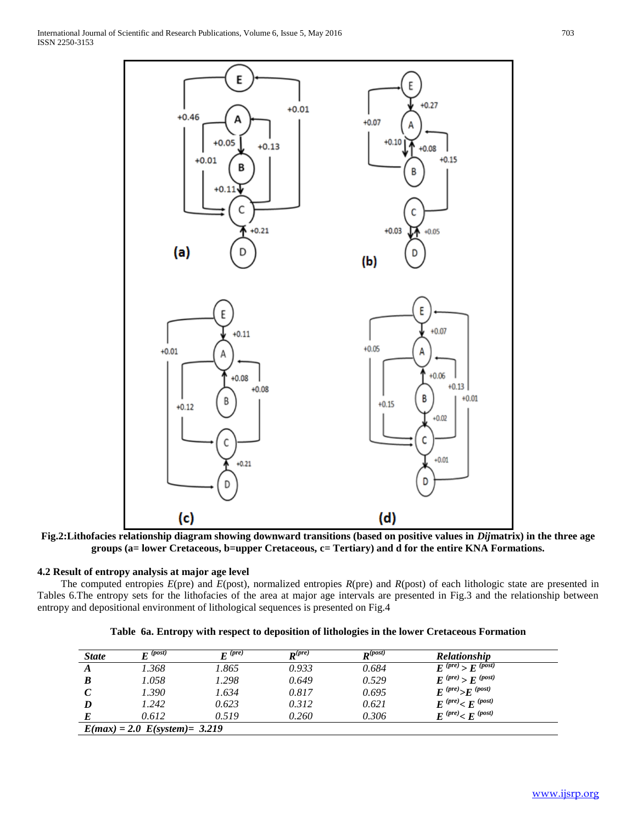

**Fig.2:Lithofacies relationship diagram showing downward transitions (based on positive values in** *Dij***matrix) in the three age groups (a= lower Cretaceous, b=upper Cretaceous, c= Tertiary) and d for the entire KNA Formations.**

## **4.2 Result of entropy analysis at major age level**

 The computed entropies *E*(pre) and *E*(post), normalized entropies *R*(pre) and *R*(post) of each lithologic state are presented in Tables 6.The entropy sets for the lithofacies of the area at major age intervals are presented in Fig.3 and the relationship between entropy and depositional environment of lithological sequences is presented on Fig.4

|  |  |  |  |  |  | Table 6a. Entropy with respect to deposition of lithologies in the lower Cretaceous Formation |
|--|--|--|--|--|--|-----------------------------------------------------------------------------------------------|
|--|--|--|--|--|--|-----------------------------------------------------------------------------------------------|

| <b>State</b> | $\boldsymbol{F}$ (post)            | $\boldsymbol{F}$ (pre) | $\mathbf{D}(pre)$ | $\mathbf{p}^{(post)}$ | <b>Relationship</b>        |
|--------------|------------------------------------|------------------------|-------------------|-----------------------|----------------------------|
| A            | 1.368                              | 1.865                  | 0.933             | 0.684                 | $E^{(pre)} > E^{(post)}$   |
| B            | 1.058                              | 1.298                  | 0.649             | 0.529                 | $E^{(pre)}$ > $E^{(post)}$ |
|              | 1.390                              | 1.634                  | 0.817             | 0.695                 | $E^{(pre)} > E^{(post)}$   |
|              | 1.242                              | 0.623                  | 0.312             | 0.621                 | $E^{(pre)} < E^{(post)}$   |
|              | 0.612                              | 0.519                  | 0.260             | 0.306                 | $E^{(pre)} < E^{(post)}$   |
|              | $E(max) = 2.0$ $E(system) = 3.219$ |                        |                   |                       |                            |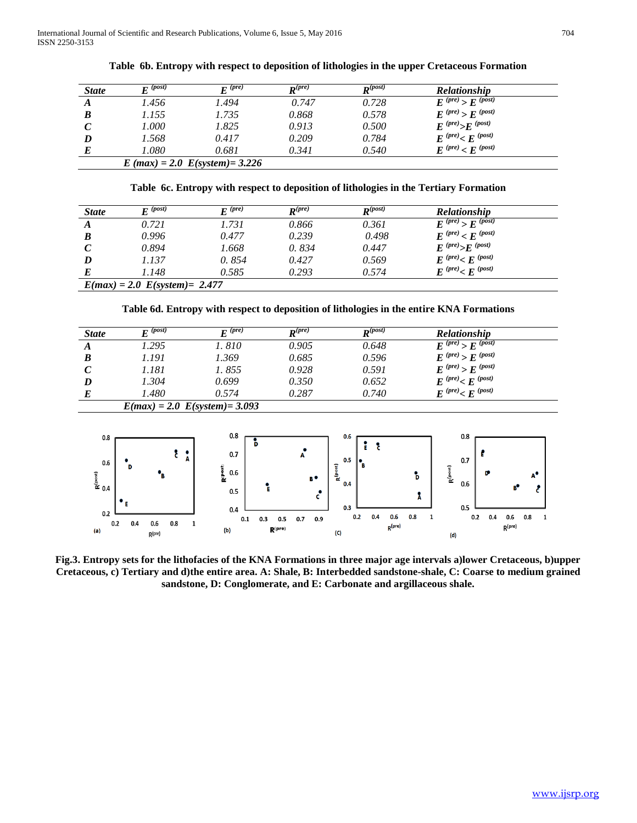| <b>State</b>     | $\mathbf{F}^{(post)}$ | $\boldsymbol{F}$ (pre)               | $\mathbf{p}^{(pre)}$ | $\mathbf{p}^{(post)}$ | <b>Relationship</b>      |  |
|------------------|-----------------------|--------------------------------------|----------------------|-----------------------|--------------------------|--|
| $\boldsymbol{A}$ | 1.456                 | 1.494                                | 0.747                | 0.728                 | $E^{(pre)} > E^{(post)}$ |  |
| $\bm{B}$         | 1.155                 | 1.735                                | 0.868                | 0.578                 | $E^{(pre)} > E^{(post)}$ |  |
| $\mathcal C$     | 1.000                 | 1.825                                | 0.913                | 0.500                 | $E^{(pre)} > E^{(post)}$ |  |
| D                | 1.568                 | 0.417                                | 0.209                | 0.784                 | $E^{(pre)} < E^{(post)}$ |  |
| E                | 1.080                 | 0.681                                | 0.341                | 0.540                 | $E^{(pre)} < E^{(post)}$ |  |
|                  |                       | $E$ (max) = 2.0 $E$ (system) = 3.226 |                      |                       |                          |  |

**Table 6b. Entropy with respect to deposition of lithologies in the upper Cretaceous Formation**

**Table 6c. Entropy with respect to deposition of lithologies in the Tertiary Formation**

| <b>State</b> | $\boldsymbol{F}^{(post)}$        | $\boldsymbol{F}$ (pre) | $\mathbf{p}^{(pre)}$ | $\mathbf{p}^{(post)}$ | <b>Relationship</b>        |  |  |  |
|--------------|----------------------------------|------------------------|----------------------|-----------------------|----------------------------|--|--|--|
| A            | 0.721                            | 1.731                  | 0.866                | 0.361                 | $E^{(pre)}$ > $E^{(post)}$ |  |  |  |
| B            | 0.996                            | 0.477                  | 0.239                | 0.498                 | $E^{(pre)}$ < $E^{(post)}$ |  |  |  |
|              | 0.894                            | 1.668                  | 0.834                | 0.447                 | $E^{(pre)} > E^{(post)}$   |  |  |  |
| D            | 1.137                            | 0.854                  | 0.427                | 0.569                 | $E^{(pre)} < E^{(post)}$   |  |  |  |
|              | 1.148                            | 0.585                  | 0.293                | 0.574                 | $E^{(pre)} < E^{(post)}$   |  |  |  |
|              | $E(max) = 2.0 E(system) = 2.477$ |                        |                      |                       |                            |  |  |  |

**Table 6d. Entropy with respect to deposition of lithologies in the entire KNA Formations**

| <b>State</b>                             | $E^{\overline{(post)}}$          | $E^{(pre)}$                                    | $R^{(pre)}$                                          | $R^{(post)}$                       | Relationship                                                            |
|------------------------------------------|----------------------------------|------------------------------------------------|------------------------------------------------------|------------------------------------|-------------------------------------------------------------------------|
| A                                        | 1.295                            | 1.810                                          | 0.905                                                | 0.648                              | $E^{(pre)}$ > $E^{(post)}$                                              |
| $\boldsymbol{B}$                         | 1.191                            | 1.369                                          | 0.685                                                | 0.596                              | $E^{(pre)}$ > $E^{(post)}$                                              |
| $\mathcal{C}$                            | 1.181                            | 1.855                                          | 0.928                                                | 0.591                              | $E^{(pre)}$ > $E^{(post)}$                                              |
| D                                        | 1.304                            | 0.699                                          | 0.350                                                | 0.652                              | $E^{(pre)} < E^{(post)}$                                                |
| $\bm E$                                  | 1.480                            | 0.574                                          | 0.287                                                | 0.740                              | $E^{(pre)}< E^{(post)}$                                                 |
|                                          |                                  |                                                |                                                      |                                    |                                                                         |
|                                          | $E(max) = 2.0 E(system) = 3.093$ |                                                |                                                      |                                    |                                                                         |
| 0.8<br>0.6<br>$R^{(post)}$<br>0.4<br>0.2 | A<br>$\cdot$ .                   | 0.8<br>Þ<br>0.7<br>Ripost<br>0.6<br>0.5<br>0.4 | A<br>$\mathbf{R}^\text{(post)}$<br>B.<br>Ŀ<br>٠<br>c | 0.6<br>ĭ<br>å<br>0.5<br>0.4<br>0.3 | 0.8<br>0.7<br>$R^{(\rm post)}$<br>D<br>Ъ<br>A°<br>0.6<br>R,<br>λ<br>0.5 |

**Fig.3. Entropy sets for the lithofacies of the KNA Formations in three major age intervals a)lower Cretaceous, b)upper Cretaceous, c) Tertiary and d)the entire area. A: Shale, B: Interbedded sandstone-shale, C: Coarse to medium grained sandstone, D: Conglomerate, and E: Carbonate and argillaceous shale.**

 $(C)$ 

 $(d)$ 

 $R^{(\text{pre})}$ 

 $(b)$ 

 $(a)$ 

 $R$ (pre)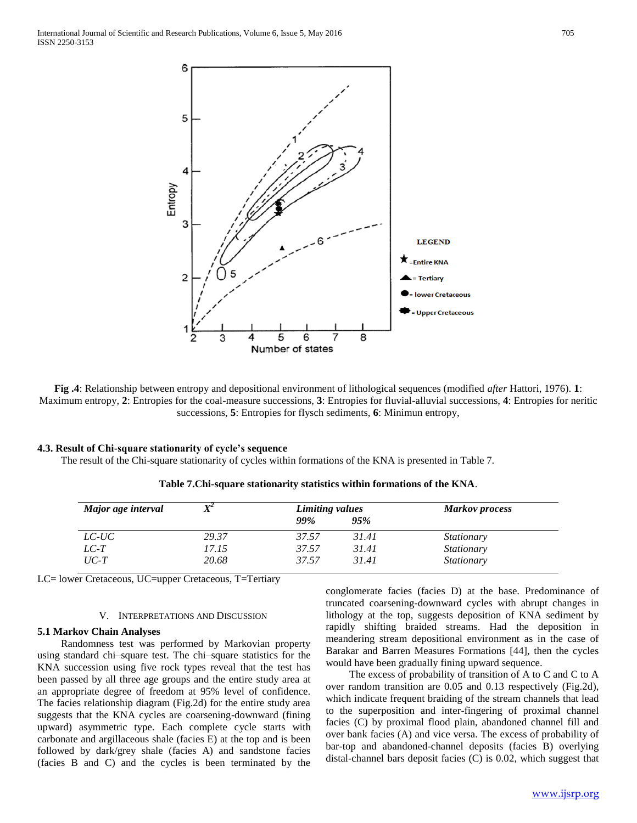

**Fig .4**: Relationship between entropy and depositional environment of lithological sequences (modified *after* Hattori, 1976). **1**: Maximum entropy, **2**: Entropies for the coal-measure successions, **3**: Entropies for fluvial-alluvial successions, **4**: Entropies for neritic successions, **5**: Entropies for flysch sediments, **6**: Minimun entropy,

#### **4.3. Result of Chi-square stationarity of cycle's sequence**

The result of the Chi-square stationarity of cycles within formations of the KNA is presented in Table 7.

| Major age interval | $X^2$ | Limiting values |       | <b>Markov</b> process |
|--------------------|-------|-----------------|-------|-----------------------|
|                    |       | <b>99%</b>      | 95%   |                       |
| $LC$ - $UC$        | 29.37 | 37.57           | 31.41 | <i>Stationary</i>     |
| $LC-T$             | 17.15 | 37.57           | 31.41 | <i>Stationary</i>     |
| $UC-T$             | 20.68 | 37.57           | 31.41 | <i>Stationary</i>     |

**Table 7.Chi-square stationarity statistics within formations of the KNA**.

LC= lower Cretaceous, UC=upper Cretaceous, T=Tertiary

#### V. INTERPRETATIONS AND DISCUSSION

#### **5.1 Markov Chain Analyses**

 Randomness test was performed by Markovian property using standard chi–square test. The chi–square statistics for the KNA succession using five rock types reveal that the test has been passed by all three age groups and the entire study area at an appropriate degree of freedom at 95% level of confidence. The facies relationship diagram (Fig.2d) for the entire study area suggests that the KNA cycles are coarsening-downward (fining upward) asymmetric type. Each complete cycle starts with carbonate and argillaceous shale (facies E) at the top and is been followed by dark/grey shale (facies A) and sandstone facies (facies B and C) and the cycles is been terminated by the

conglomerate facies (facies D) at the base. Predominance of truncated coarsening-downward cycles with abrupt changes in lithology at the top, suggests deposition of KNA sediment by rapidly shifting braided streams. Had the deposition in meandering stream depositional environment as in the case of Barakar and Barren Measures Formations [44], then the cycles would have been gradually fining upward sequence.

 The excess of probability of transition of A to C and C to A over random transition are 0.05 and 0.13 respectively (Fig.2d), which indicate frequent braiding of the stream channels that lead to the superposition and inter-fingering of proximal channel facies (C) by proximal flood plain, abandoned channel fill and over bank facies (A) and vice versa. The excess of probability of bar-top and abandoned-channel deposits (facies B) overlying distal-channel bars deposit facies (C) is 0.02, which suggest that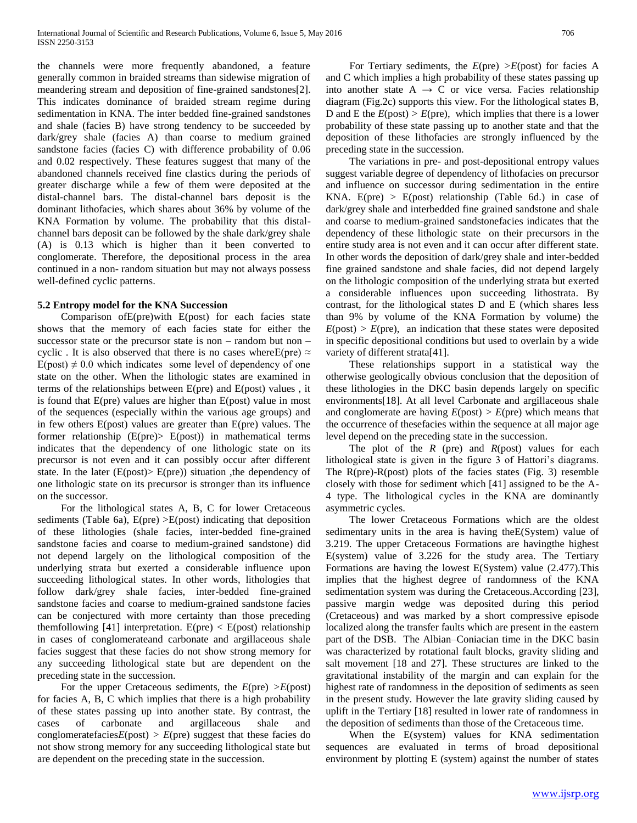the channels were more frequently abandoned, a feature generally common in braided streams than sidewise migration of meandering stream and deposition of fine-grained sandstones[2]. This indicates dominance of braided stream regime during sedimentation in KNA. The inter bedded fine-grained sandstones and shale (facies B) have strong tendency to be succeeded by dark/grey shale (facies A) than coarse to medium grained sandstone facies (facies C) with difference probability of 0.06 and 0.02 respectively. These features suggest that many of the abandoned channels received fine clastics during the periods of greater discharge while a few of them were deposited at the distal-channel bars. The distal-channel bars deposit is the dominant lithofacies, which shares about 36% by volume of the KNA Formation by volume. The probability that this distalchannel bars deposit can be followed by the shale dark/grey shale (A) is 0.13 which is higher than it been converted to conglomerate. Therefore, the depositional process in the area continued in a non- random situation but may not always possess well-defined cyclic patterns.

#### **5.2 Entropy model for the KNA Succession**

 Comparison ofE(pre)with E(post) for each facies state shows that the memory of each facies state for either the successor state or the precursor state is non – random but non – cyclic. It is also observed that there is no cases where E(pre)  $\approx$  $E(post) \neq 0.0$  which indicates some level of dependency of one state on the other. When the lithologic states are examined in terms of the relationships between E(pre) and E(post) values , it is found that E(pre) values are higher than E(post) value in most of the sequences (especially within the various age groups) and in few others E(post) values are greater than E(pre) values. The former relationship  $(E(\text{pre}) > E(\text{post}))$  in mathematical terms indicates that the dependency of one lithologic state on its precursor is not even and it can possibly occur after different state. In the later  $(E(post) > E(pre))$  situation, the dependency of one lithologic state on its precursor is stronger than its influence on the successor.

 For the lithological states A, B, C for lower Cretaceous sediments (Table 6a),  $E(\text{pre}) > E(\text{post})$  indicating that deposition of these lithologies (shale facies, inter-bedded fine-grained sandstone facies and coarse to medium-grained sandstone) did not depend largely on the lithological composition of the underlying strata but exerted a considerable influence upon succeeding lithological states. In other words, lithologies that follow dark/grey shale facies, inter-bedded fine-grained sandstone facies and coarse to medium-grained sandstone facies can be conjectured with more certainty than those preceding themfollowing [41] interpretation.  $E(\text{pre}) < E(\text{post})$  relationship in cases of conglomerateand carbonate and argillaceous shale facies suggest that these facies do not show strong memory for any succeeding lithological state but are dependent on the preceding state in the succession.

 For the upper Cretaceous sediments, the *E*(pre) *>E*(post) for facies A, B, C which implies that there is a high probability of these states passing up into another state. By contrast, the cases of carbonate and argillaceous shale and conglomeratefacies $E(\text{post}) > E(\text{pre})$  suggest that these facies do not show strong memory for any succeeding lithological state but are dependent on the preceding state in the succession.

 For Tertiary sediments, the *E*(pre) *>E*(post) for facies A and C which implies a high probability of these states passing up into another state  $A \rightarrow C$  or vice versa. Facies relationship diagram (Fig.2c) supports this view. For the lithological states B, D and E the  $E(post) > E(pre)$ , which implies that there is a lower probability of these state passing up to another state and that the deposition of these lithofacies are strongly influenced by the preceding state in the succession.

 The variations in pre- and post-depositional entropy values suggest variable degree of dependency of lithofacies on precursor and influence on successor during sedimentation in the entire KNA.  $E(\text{pre}) > E(\text{post})$  relationship (Table 6d.) in case of dark/grey shale and interbedded fine grained sandstone and shale and coarse to medium-grained sandstonefacies indicates that the dependency of these lithologic state on their precursors in the entire study area is not even and it can occur after different state. In other words the deposition of dark/grey shale and inter-bedded fine grained sandstone and shale facies, did not depend largely on the lithologic composition of the underlying strata but exerted a considerable influences upon succeeding lithostrata. By contrast, for the lithological states D and E (which shares less than 9% by volume of the KNA Formation by volume) the  $E(\text{post}) > E(\text{pre})$ , an indication that these states were deposited in specific depositional conditions but used to overlain by a wide variety of different strata<sup>[41]</sup>.

 These relationships support in a statistical way the otherwise geologically obvious conclusion that the deposition of these lithologies in the DKC basin depends largely on specific environments[18]. At all level Carbonate and argillaceous shale and conglomerate are having  $E(post) > E(pre)$  which means that the occurrence of thesefacies within the sequence at all major age level depend on the preceding state in the succession.

 The plot of the *R* (pre) and *R*(post) values for each lithological state is given in the figure 3 of Hattori's diagrams. The R(pre)-R(post) plots of the facies states (Fig. 3) resemble closely with those for sediment which [41] assigned to be the A-4 type. The lithological cycles in the KNA are dominantly asymmetric cycles.

 The lower Cretaceous Formations which are the oldest sedimentary units in the area is having theE(System) value of 3.219. The upper Cretaceous Formations are havingthe highest E(system) value of 3.226 for the study area. The Tertiary Formations are having the lowest E(System) value (2.477).This implies that the highest degree of randomness of the KNA sedimentation system was during the Cretaceous.According [23], passive margin wedge was deposited during this period (Cretaceous) and was marked by a short compressive episode localized along the transfer faults which are present in the eastern part of the DSB. The Albian–Coniacian time in the DKC basin was characterized by rotational fault blocks, gravity sliding and salt movement [18 and 27]. These structures are linked to the gravitational instability of the margin and can explain for the highest rate of randomness in the deposition of sediments as seen in the present study. However the late gravity sliding caused by uplift in the Tertiary [18] resulted in lower rate of randomness in the deposition of sediments than those of the Cretaceous time.

 When the E(system) values for KNA sedimentation sequences are evaluated in terms of broad depositional environment by plotting E (system) against the number of states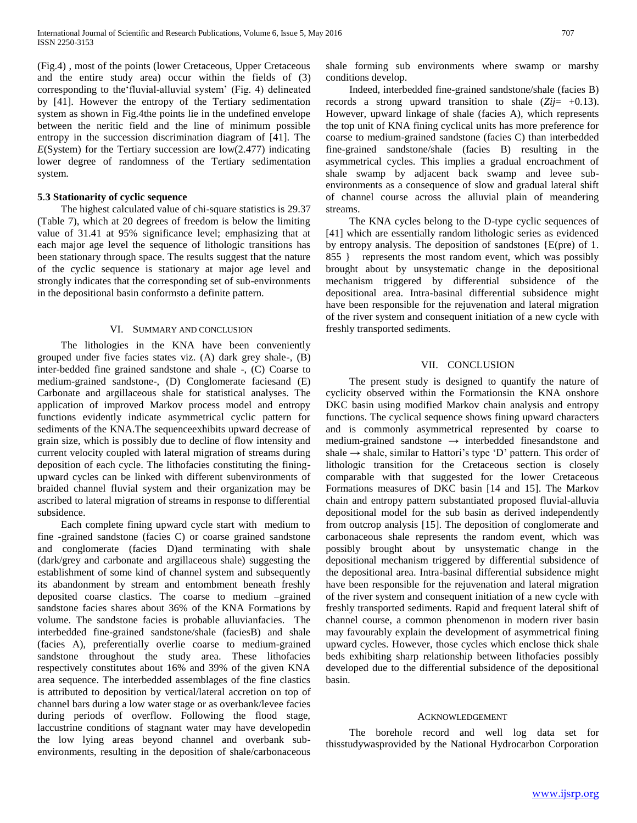(Fig.4) , most of the points (lower Cretaceous, Upper Cretaceous and the entire study area) occur within the fields of (3) corresponding to the'fluvial-alluvial system' (Fig. 4) delineated by [41]. However the entropy of the Tertiary sedimentation system as shown in Fig.4the points lie in the undefined envelope between the neritic field and the line of minimum possible entropy in the succession discrimination diagram of [41]. The *E*(System) for the Tertiary succession are low(2.477) indicating lower degree of randomness of the Tertiary sedimentation system.

#### **5**.**3 Stationarity of cyclic sequence**

 The highest calculated value of chi-square statistics is 29.37 (Table 7), which at 20 degrees of freedom is below the limiting value of 31.41 at 95% significance level; emphasizing that at each major age level the sequence of lithologic transitions has been stationary through space. The results suggest that the nature of the cyclic sequence is stationary at major age level and strongly indicates that the corresponding set of sub-environments in the depositional basin conformsto a definite pattern.

#### VI. SUMMARY AND CONCLUSION

 The lithologies in the KNA have been conveniently grouped under five facies states viz. (A) dark grey shale-, (B) inter-bedded fine grained sandstone and shale -, (C) Coarse to medium-grained sandstone-, (D) Conglomerate faciesand (E) Carbonate and argillaceous shale for statistical analyses. The application of improved Markov process model and entropy functions evidently indicate asymmetrical cyclic pattern for sediments of the KNA.The sequenceexhibits upward decrease of grain size, which is possibly due to decline of flow intensity and current velocity coupled with lateral migration of streams during deposition of each cycle. The lithofacies constituting the finingupward cycles can be linked with different subenvironments of braided channel fluvial system and their organization may be ascribed to lateral migration of streams in response to differential subsidence.

 Each complete fining upward cycle start with medium to fine -grained sandstone (facies C) or coarse grained sandstone and conglomerate (facies D)and terminating with shale (dark/grey and carbonate and argillaceous shale) suggesting the establishment of some kind of channel system and subsequently its abandonment by stream and entombment beneath freshly deposited coarse clastics. The coarse to medium –grained sandstone facies shares about 36% of the KNA Formations by volume. The sandstone facies is probable alluvianfacies. The interbedded fine-grained sandstone/shale (faciesB) and shale (facies A), preferentially overlie coarse to medium-grained sandstone throughout the study area. These lithofacies respectively constitutes about 16% and 39% of the given KNA area sequence. The interbedded assemblages of the fine clastics is attributed to deposition by vertical/lateral accretion on top of channel bars during a low water stage or as overbank/levee facies during periods of overflow. Following the flood stage, laccustrine conditions of stagnant water may have developedin the low lying areas beyond channel and overbank subenvironments, resulting in the deposition of shale/carbonaceous

shale forming sub environments where swamp or marshy conditions develop.

 Indeed, interbedded fine-grained sandstone/shale (facies B) records a strong upward transition to shale (*Zij*= +0*.*13). However, upward linkage of shale (facies A), which represents the top unit of KNA fining cyclical units has more preference for coarse to medium-grained sandstone (facies C) than interbedded fine-grained sandstone/shale (facies B) resulting in the asymmetrical cycles. This implies a gradual encroachment of shale swamp by adjacent back swamp and levee subenvironments as a consequence of slow and gradual lateral shift of channel course across the alluvial plain of meandering streams.

 The KNA cycles belong to the D-type cyclic sequences of [41] which are essentially random lithologic series as evidenced by entropy analysis. The deposition of sandstones {E(pre) of 1. 855 } represents the most random event, which was possibly brought about by unsystematic change in the depositional mechanism triggered by differential subsidence of the depositional area. Intra-basinal differential subsidence might have been responsible for the rejuvenation and lateral migration of the river system and consequent initiation of a new cycle with freshly transported sediments.

#### VII. CONCLUSION

 The present study is designed to quantify the nature of cyclicity observed within the Formationsin the KNA onshore DKC basin using modified Markov chain analysis and entropy functions. The cyclical sequence shows fining upward characters and is commonly asymmetrical represented by coarse to medium-grained sandstone *→* interbedded finesandstone and shale *→* shale, similar to Hattori's type 'D' pattern. This order of lithologic transition for the Cretaceous section is closely comparable with that suggested for the lower Cretaceous Formations measures of DKC basin [14 and 15]. The Markov chain and entropy pattern substantiated proposed fluvial-alluvia depositional model for the sub basin as derived independently from outcrop analysis [15]. The deposition of conglomerate and carbonaceous shale represents the random event, which was possibly brought about by unsystematic change in the depositional mechanism triggered by differential subsidence of the depositional area. Intra-basinal differential subsidence might have been responsible for the rejuvenation and lateral migration of the river system and consequent initiation of a new cycle with freshly transported sediments. Rapid and frequent lateral shift of channel course, a common phenomenon in modern river basin may favourably explain the development of asymmetrical fining upward cycles. However, those cycles which enclose thick shale beds exhibiting sharp relationship between lithofacies possibly developed due to the differential subsidence of the depositional basin.

#### ACKNOWLEDGEMENT

 The borehole record and well log data set for thisstudywasprovided by the National Hydrocarbon Corporation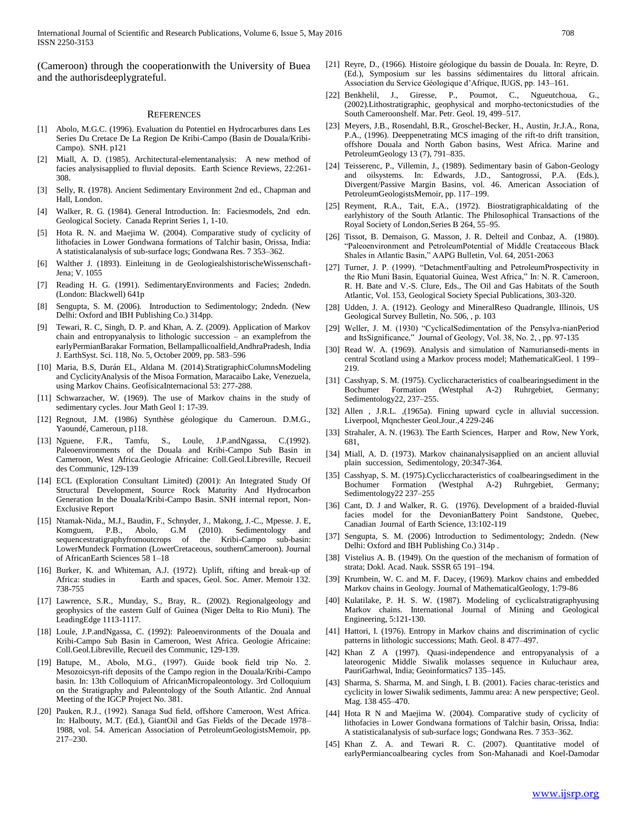International Journal of Scientific and Research Publications, Volume 6, Issue 5, May 2016 708 ISSN 2250-3153

(Cameroon) through the cooperationwith the University of Buea and the authorisdeeplygrateful.

#### **REFERENCES**

- [1] Abolo, M.G.C. (1996). Evaluation du Potentiel en Hydrocarbures dans Les Series Du Cretace De La Region De Kribi-Campo (Basin de Douala/Kribi-Campo). SNH. p121
- [2] Miall, A. D. (1985). Architectural-elementanalysis: A new method of facies analysisapplied to fluvial deposits. Earth Science Reviews, 22:261- 308.
- [3] Selly, R. (1978). Ancient Sedimentary Environment 2nd ed., Chapman and Hall, London.
- [4] Walker, R. G. (1984). General Introduction. In: Faciesmodels, 2nd edn. Geological Society. Canada Reprint Series 1, 1-10.
- [5] Hota R. N. and Maejima W. (2004). Comparative study of cyclicity of lithofacies in Lower Gondwana formations of Talchir basin, Orissa, India: A statisticalanalysis of sub-surface logs; Gondwana Res. 7 353–362.
- [6] Walther J. (1893). Einleitung in de GeologiealshistorischeWissenschaft-Jena; V. 1055
- [7] Reading H. G. (1991). SedimentaryEnvironments and Facies; 2ndedn. (London: Blackwell) 641p
- [8] Sengupta, S. M. (2006). Introduction to Sedimentology; 2ndedn. (New Delhi: Oxford and IBH Publishing Co.) 314pp.
- [9] Tewari, R. C, Singh, D. P. and Khan, A. Z. (2009). Application of Markov chain and entropyanalysis to lithologic succession – an examplefrom the earlyPermianBarakar Formation, Bellampallicoalfield,AndhraPradesh, India J. EarthSyst. Sci. 118, No. 5, October 2009, pp. 583–596
- [10] Maria, B.S, Durán EL, Aldana M. (2014).StratigraphicColumnsModeling and CyclicityAnalysis of the Misoa Formation, Maracaibo Lake, Venezuela, using Markov Chains. GeofísicaInternacional 53: 277-288.
- [11] Schwarzacher, W. (1969). The use of Markov chains in the study of sedimentary cycles. Jour Math Geol 1: 17-39.
- [12] Regnout, J.M. (1986) Synthèse géologique du Cameroun. D.M.G., Yaoundé, Cameroun, p118.
- [13] Nguene, F.R., Tamfu, S., Loule, J.P.andNgassa, C.(1992). Paleoenvironments of the Douala and Kribi-Campo Sub Basin in Cameroon, West Africa.Geologie Africaine: Coll.Geol.Libreville, Recueil des Communic, 129-139
- [14] ECL (Exploration Consultant Limited) (2001): An Integrated Study Of Structural Development, Source Rock Maturity And Hydrocarbon Generation In the Douala/Kribi-Campo Basin. SNH internal report, Non-Exclusive Report
- [15] Ntamak-Nida,, M.J., Baudin, F., Schnyder, J., Makong, J.-C., Mpesse. J. E, Komguem, P.B., Abolo, G.M (2010). Sedimentology and sequencestratigraphyfromoutcrops of the Kribi-Campo sub-basin: LowerMundeck Formation (LowerCretaceous, southernCameroon). Journal of AfricanEarth Sciences 58 1–18
- [16] Burker, K. and Whiteman, A.J. (1972). Uplift, rifting and break-up of Africa: studies in Earth and spaces, Geol. Soc. Amer. Memoir 132. 738-755
- [17] Lawrence, S.R., Munday, S., Bray, R.. (2002). Regionalgeology and geophysics of the eastern Gulf of Guinea (Niger Delta to Rio Muni). The LeadingEdge 1113-1117.
- [18] Loule, J.P.andNgassa, C. (1992): Paleoenvironments of the Douala and Kribi-Campo Sub Basin in Cameroon, West Africa. Geologie Africaine: Coll.Geol.Libreville, Recueil des Communic, 129-139.
- [19] Batupe, M., Abolo, M.G., (1997). Guide book field trip No. 2. Mesozoicsyn-rift deposits of the Campo region in the Douala/Kribi-Campo basin. In: 13th Colloquium of AfricanMicropaleontology. 3rd Colloquium on the Stratigraphy and Paleontology of the South Atlantic. 2nd Annual Meeting of the IGCP Project No. 381.
- [20] Pauken, R.J., (1992). Sanaga Sud field, offshore Cameroon, West Africa. In: Halbouty, M.T. (Ed.), GiantOil and Gas Fields of the Decade 1978– 1988, vol. 54. American Association of PetroleumGeologistsMemoir, pp. 217–230.
- [21] Reyre, D., (1966). Histoire géologique du bassin de Douala. In: Reyre, D. (Ed.), Symposium sur les bassins sédimentaires du littoral africain. Association du Service Géologique d'Afrique, IUGS, pp. 143–161.
- [22] Benkhelil, J., Giresse, P., Poumot, C., Ngueutchoua, (2002).Lithostratigraphic, geophysical and morpho-tectonicstudies of the South Cameroonshelf. Mar. Petr. Geol. 19, 499–517.
- [23] Meyers, J.B., Rosendahl, B.R., Groschel-Becker, H., Austin, Jr.J.A., Rona, P.A., (1996). Deeppenetrating MCS imaging of the rift-to drift transition, offshore Douala and North Gabon basins, West Africa. Marine and PetroleumGeology 13 (7), 791–835.
- [24] Teisserenc, P., Villemin, J., (1989). Sedimentary basin of Gabon-Geology and oilsystems. In: Edwards, J.D., Santogrossi, P.A. (Eds.), Divergent/Passive Margin Basins, vol. 46. American Association of PetroleumGeologistsMemoir, pp. 117–199.
- [25] Reyment, R.A., Tait, E.A., (1972). Biostratigraphicaldating of the earlyhistory of the South Atlantic. The Philosophical Transactions of the Royal Society of London,Series B 264, 55–95.
- [26] Tissot, B. Demaison, G. Masson, J. R. Delteil and Conbaz, A. (1980). "Paleoenvironment and PetroleumPotential of Middle Creataceous Black Shales in Atlantic Basin," AAPG Bulletin, Vol. 64, 2051-2063
- [27] Turner, J. P. (1999). "DetachmentFaulting and PetroleumProspectivity in the Rio Muni Basin, Equatorial Guinea, West Africa," In: N. R. Cameroon, R. H. Bate and V.-S. Clure, Eds., The Oil and Gas Habitats of the South Atlantic, Vol. 153, Geological Society Special Publications, 303-320.
- [28] Udden, J. A. (1912). Geology and MineralReso Quadrangle, Illinois, US Geological Survey Bulletin, No. 506, , p. 103
- [29] Weller, J. M. (1930) "CyclicalSedimentation of the Pensylva-nianPeriod and ItsSignificance," Journal of Geology, Vol. 38, No. 2, , pp. 97-135
- [30] Read W. A. (1969). Analysis and simulation of Namuriansedi-ments in central Scotland using a Markov process model; MathematicalGeol. 1 199– 219.
- [31] Casshyap, S. M. (1975). Cycliccharacteristics of coalbearingsediment in the Bochumer Formation (Westphal A-2) Ruhrgebiet, Germany; Sedimentology22, 237–255.
- [32] Allen , J.R.L. ,(1965a). Fining upward cycle in alluvial succession. Liverpool, Mqnchester Geol.Jour.,4 229-246
- [33] Strahaler, A. N. (1963). The Earth Sciences, Harper and Row, New York, 681,
- [34] Miall, A. D. (1973). Markov chainanalysisapplied on an ancient alluvial plain succession, Sedimentology, 20:347-364.
- [35] Casshyap, S. M. (1975). Cycliccharacteristics of coalbearingsediment in the Bochumer Formation (Westphal A-2) Ruhrgebiet, Germany; Sedimentology22 237–255
- [36] Cant, D. J and Walker, R. G. (1976). Development of a braided-fluvial facies model for the DevonianBattery Point Sandstone, Quebec, Canadian Journal of Earth Science, 13:102-119
- [37] Sengupta, S. M. (2006) Introduction to Sedimentology; 2ndedn. (New Delhi: Oxford and IBH Publishing Co.) 314p .
- [38] Vistelius A. B. (1949). On the question of the mechanism of formation of strata; Dokl. Acad. Nauk. SSSR 65 191–194.
- [39] Krumbein, W. C. and M. F. Dacey, (1969). Markov chains and embedded Markov chains in Geology. Journal of MathematicalGeology, 1:79-86
- [40] Kulatilake, P. H. S. W. (1987). Modeling of cyclicalstratigraphyusing Markov chains. International Journal of Mining and Geological Engineering, 5:121-130.
- [41] Hattori, I. (1976). Entropy in Markov chains and discrimination of cyclic patterns in lithologic successions; Math. Geol. 8 477–497.
- [42] Khan Z A (1997). Quasi-independence and entropyanalysis of a lateorogenic Middle Siwalik molasses sequence in Kuluchaur area, PauriGarhwal, India; Geoinformatics7 135–145.
- [43] Sharma, S. Sharma, M. and Singh, I. B. (2001). Facies charac-teristics and cyclicity in lower Siwalik sediments, Jammu area: A new perspective; Geol. Mag. 138 455–470.
- [44] Hota R N and Maejima W. (2004). Comparative study of cyclicity of lithofacies in Lower Gondwana formations of Talchir basin, Orissa, India: A statisticalanalysis of sub-surface logs; Gondwana Res. 7 353–362.
- [45] Khan Z. A. and Tewari R. C. (2007). Quantitative model of earlyPermiancoalbearing cycles from Son-Mahanadi and Koel-Damodar